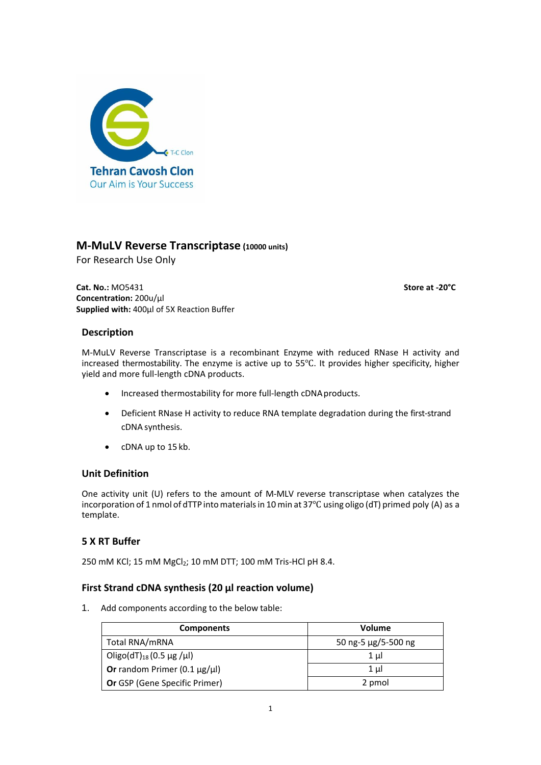

# **M-MuLV Reverse Transcriptase (10000 units)**

For Research Use Only

**Cat. No.:** MO5431 **Store at -20°C Concentration:** 200u/µl **Supplied with:** 400µl of 5X Reaction Buffer

### **Description**

M-MuLV Reverse Transcriptase is a recombinant Enzyme with reduced RNase H activity and increased thermostability. The enzyme is active up to 55℃. It provides higher specificity, higher yield and more full-length cDNA products.

- Increased thermostability for more full-length cDNA products.
- Deficient RNase H activity to reduce RNA template degradation during the first-strand cDNA synthesis.
- cDNA up to 15 kb.

## **Unit Definition**

One activity unit (U) refers to the amount of M-MLV reverse transcriptase when catalyzes the incorporation of 1 nmol of dTTP into materials in 10 min at 37°C using oligo (dT) primed poly (A) as a template.

## **5 X RT Buffer**

250 mM KCl; 15 mM MgCl<sub>2</sub>; 10 mM DTT; 100 mM Tris-HCl pH 8.4.

#### **First Strand cDNA synthesis (20 μl reaction volume)**

1. Add components according to the below table:

| <b>Components</b>                       | Volume              |
|-----------------------------------------|---------------------|
| Total RNA/mRNA                          | 50 ng-5 μg/5-500 ng |
| Oligo(dT) <sub>18</sub> (0.5 µg /µl)    | 1 µl                |
| Or random Primer (0.1 $\mu$ g/ $\mu$ l) | $1 \mu$             |
| <b>Or GSP (Gene Specific Primer)</b>    | 2 pmol              |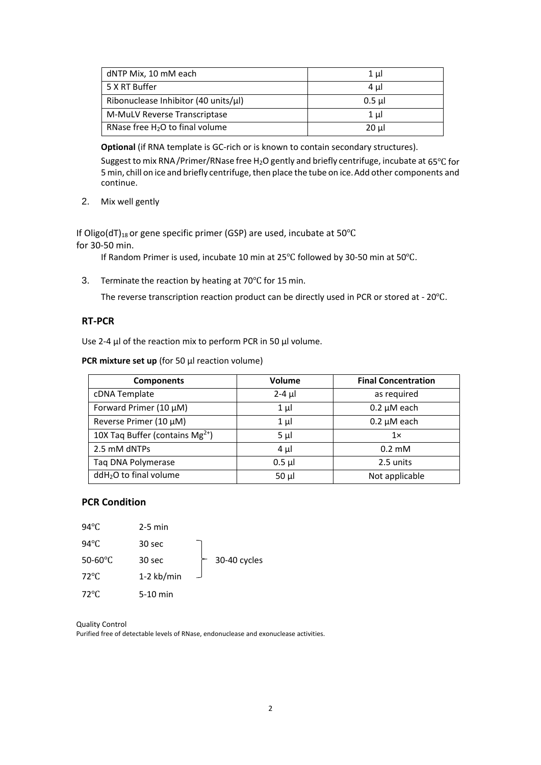| dNTP Mix, 10 mM each                       | 1 ul     |
|--------------------------------------------|----------|
| 5 X RT Buffer                              | 4 ul     |
| Ribonuclease Inhibitor (40 units/ $\mu$ I) | $0.5$ ul |
| M-MuLV Reverse Transcriptase               | $1 \mu$  |
| RNase free $H_2O$ to final volume          | $20 \mu$ |

**Optional** (if RNA template is GC-rich or is known to contain secondary structures).

Suggest to mix RNA/Primer/RNase free H<sub>2</sub>O gently and briefly centrifuge, incubate at 65℃ for 5 min, chill on ice and briefly centrifuge, then place the tube on ice. Add other components and continue.

2. Mix well gently

If Oligo(dT)<sub>18</sub> or gene specific primer (GSP) are used, incubate at 50°C for 30-50 min.

If Random Primer is used, incubate 10 min at 25℃ followed by 30-50 min at 50℃.

3. Terminate the reaction by heating at 70℃ for 15 min.

The reverse transcription reaction product can be directly used in PCR or stored at - 20℃.

#### **RT-PCR**

Use 2-4 μl of the reaction mix to perform PCR in 50 μl volume.

**PCR mixture set up** (for 50 μl reaction volume)

| <b>Components</b>                           | <b>Volume</b> | <b>Final Concentration</b> |
|---------------------------------------------|---------------|----------------------------|
| cDNA Template                               | $2-4$ µl      | as required                |
| Forward Primer (10 µM)                      | $1 \mu$       | $0.2 \mu M$ each           |
| Reverse Primer (10 µM)                      | $1 \mu$       | $0.2 \mu M$ each           |
| 10X Taq Buffer (contains Mg <sup>2+</sup> ) | $5 \mu$       | 1x                         |
| 2.5 mM dNTPs                                | $4 \mu$       | $0.2 \text{ }\mathrm{mM}$  |
| Taq DNA Polymerase                          | $0.5$ µl      | 2.5 units                  |
| ddH <sub>2</sub> O to final volume          | $50 \mu$      | Not applicable             |

## **PCR Condition**

| $94^{\circ}$ C             | $2-5$ min  |              |
|----------------------------|------------|--------------|
| $94^{\circ}$ C             | 30 sec     |              |
| 50-60 $\mathrm{^{\circ}C}$ | 30 sec     | 30-40 cycles |
| $72^{\circ}$ C             | 1-2 kb/min |              |
| 72°C                       | $5-10$ min |              |

Quality Control

Purified free of detectable levels of RNase, endonuclease and exonuclease activities.